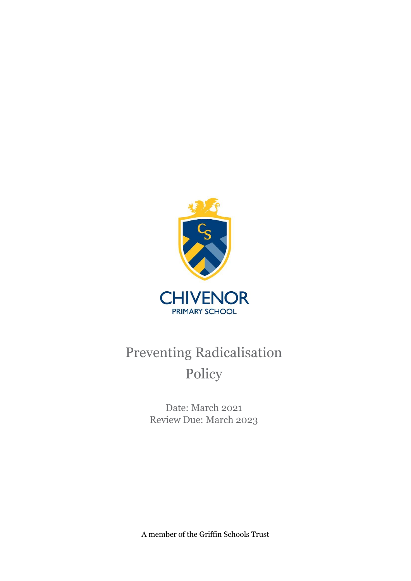

Date: March 2021 Review Due: March 2023

A member of the Griffin Schools Trust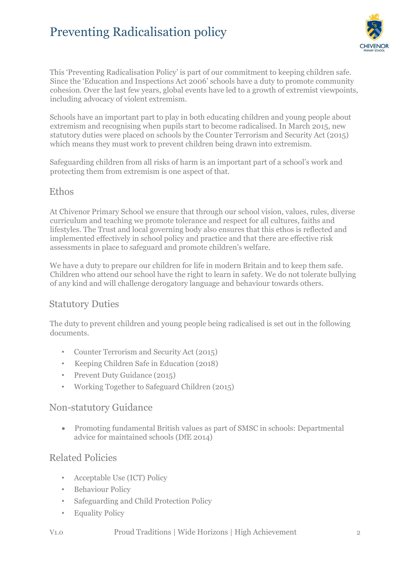

This 'Preventing Radicalisation Policy' is part of our commitment to keeping children safe. Since the 'Education and Inspections Act 2006' schools have a duty to promote community cohesion. Over the last few years, global events have led to a growth of extremist viewpoints, including advocacy of violent extremism.

Schools have an important part to play in both educating children and young people about extremism and recognising when pupils start to become radicalised. In March 2015, new statutory duties were placed on schools by the Counter Terrorism and Security Act (2015) which means they must work to prevent children being drawn into extremism.

Safeguarding children from all risks of harm is an important part of a school's work and protecting them from extremism is one aspect of that.

#### **Ethos**

At Chivenor Primary School we ensure that through our school vision, values, rules, diverse curriculum and teaching we promote tolerance and respect for all cultures, faiths and lifestyles. The Trust and local governing body also ensures that this ethos is reflected and implemented effectively in school policy and practice and that there are effective risk assessments in place to safeguard and promote children's welfare.

We have a duty to prepare our children for life in modern Britain and to keep them safe. Children who attend our school have the right to learn in safety. We do not tolerate bullying of any kind and will challenge derogatory language and behaviour towards others.

### Statutory Duties

The duty to prevent children and young people being radicalised is set out in the following documents.

- Counter Terrorism and Security Act (2015)
- Keeping Children Safe in Education (2018)
- Prevent Duty Guidance (2015)
- Working Together to Safeguard Children (2015)

### Non-statutory Guidance

 Promoting fundamental British values as part of SMSC in schools: Departmental advice for maintained schools (DfE 2014)

### Related Policies

- Acceptable Use (ICT) Policy
- Behaviour Policy
- Safeguarding and Child Protection Policy
- Equality Policy
- V1.0 Proud Traditions | Wide Horizons | High Achievement 2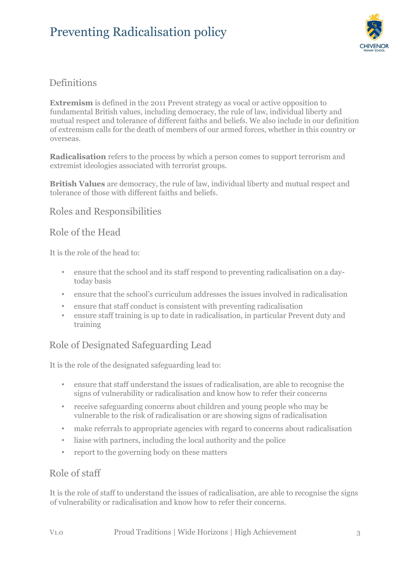

## Definitions

**Extremism** is defined in the 2011 Prevent strategy as vocal or active opposition to fundamental British values, including democracy, the rule of law, individual liberty and mutual respect and tolerance of different faiths and beliefs. We also include in our definition of extremism calls for the death of members of our armed forces, whether in this country or overseas.

**Radicalisation** refers to the process by which a person comes to support terrorism and extremist ideologies associated with terrorist groups.

**British Values** are democracy, the rule of law, individual liberty and mutual respect and tolerance of those with different faiths and beliefs.

## Roles and Responsibilities

## Role of the Head

It is the role of the head to:

- ensure that the school and its staff respond to preventing radicalisation on a daytoday basis
- ensure that the school's curriculum addresses the issues involved in radicalisation
- ensure that staff conduct is consistent with preventing radicalisation
- ensure staff training is up to date in radicalisation, in particular Prevent duty and training

## Role of Designated Safeguarding Lead

It is the role of the designated safeguarding lead to:

- ensure that staff understand the issues of radicalisation, are able to recognise the signs of vulnerability or radicalisation and know how to refer their concerns
- receive safeguarding concerns about children and young people who may be vulnerable to the risk of radicalisation or are showing signs of radicalisation
- make referrals to appropriate agencies with regard to concerns about radicalisation
- liaise with partners, including the local authority and the police
- report to the governing body on these matters

## Role of staff

It is the role of staff to understand the issues of radicalisation, are able to recognise the signs of vulnerability or radicalisation and know how to refer their concerns.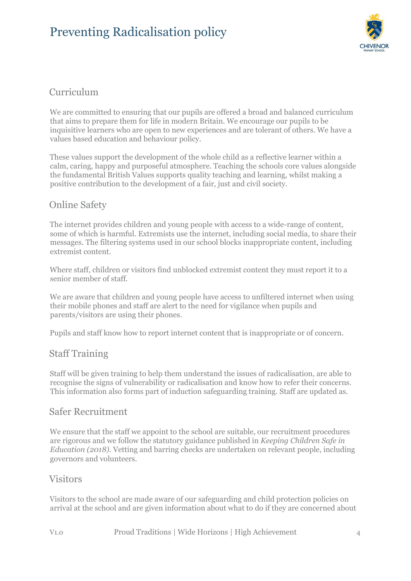

## Curriculum

We are committed to ensuring that our pupils are offered a broad and balanced curriculum that aims to prepare them for life in modern Britain. We encourage our pupils to be inquisitive learners who are open to new experiences and are tolerant of others. We have a values based education and behaviour policy.

These values support the development of the whole child as a reflective learner within a calm, caring, happy and purposeful atmosphere. Teaching the schools core values alongside the fundamental British Values supports quality teaching and learning, whilst making a positive contribution to the development of a fair, just and civil society.

## Online Safety

The internet provides children and young people with access to a wide-range of content, some of which is harmful. Extremists use the internet, including social media, to share their messages. The filtering systems used in our school blocks inappropriate content, including extremist content.

Where staff, children or visitors find unblocked extremist content they must report it to a senior member of staff.

We are aware that children and young people have access to unfiltered internet when using their mobile phones and staff are alert to the need for vigilance when pupils and parents/visitors are using their phones.

Pupils and staff know how to report internet content that is inappropriate or of concern.

### Staff Training

Staff will be given training to help them understand the issues of radicalisation, are able to recognise the signs of vulnerability or radicalisation and know how to refer their concerns. This information also forms part of induction safeguarding training. Staff are updated as.

### Safer Recruitment

We ensure that the staff we appoint to the school are suitable, our recruitment procedures are rigorous and we follow the statutory guidance published in *Keeping Children Safe in Education (2018).* Vetting and barring checks are undertaken on relevant people, including governors and volunteers.

## Visitors

Visitors to the school are made aware of our safeguarding and child protection policies on arrival at the school and are given information about what to do if they are concerned about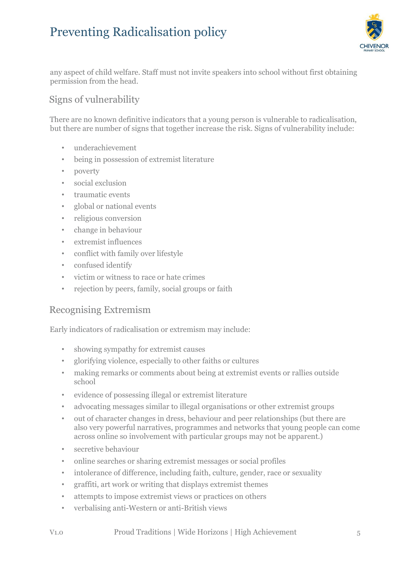

any aspect of child welfare. Staff must not invite speakers into school without first obtaining permission from the head.

### Signs of vulnerability

There are no known definitive indicators that a young person is vulnerable to radicalisation, but there are number of signs that together increase the risk. Signs of vulnerability include:

- underachievement
- being in possession of extremist literature
- poverty
- social exclusion
- traumatic events
- global or national events
- religious conversion
- change in behaviour
- extremist influences
- conflict with family over lifestyle
- confused identify
- victim or witness to race or hate crimes
- rejection by peers, family, social groups or faith

### Recognising Extremism

Early indicators of radicalisation or extremism may include:

- showing sympathy for extremist causes
- glorifying violence, especially to other faiths or cultures
- making remarks or comments about being at extremist events or rallies outside school
- evidence of possessing illegal or extremist literature
- advocating messages similar to illegal organisations or other extremist groups
- out of character changes in dress, behaviour and peer relationships (but there are also very powerful narratives, programmes and networks that young people can come across online so involvement with particular groups may not be apparent.)
- secretive behaviour
- online searches or sharing extremist messages or social profiles
- intolerance of difference, including faith, culture, gender, race or sexuality
- graffiti, art work or writing that displays extremist themes
- attempts to impose extremist views or practices on others
- verbalising anti-Western or anti-British views